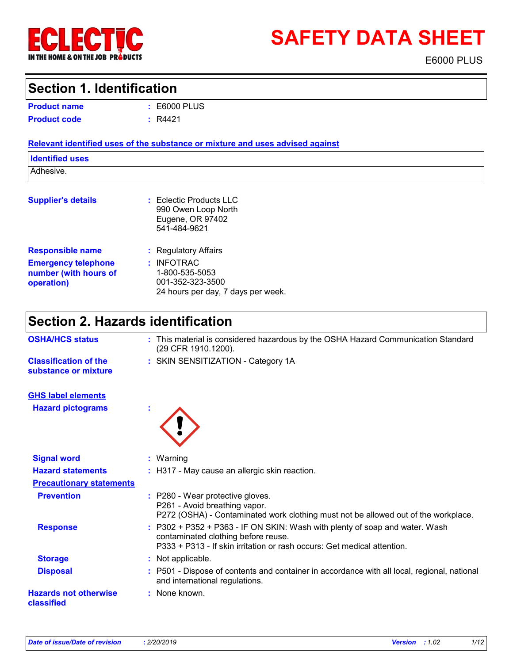

# **SAFETY DATA SHEET**

E6000 PLUS

### **Section 1. Identification**

| <b>Product name</b> | $\pm 0.6000$ |
|---------------------|--------------|
| <b>Product code</b> | : R4421      |

E6000 PLUS **:**

#### **Relevant identified uses of the substance or mixture and uses advised against**

| <b>Identified uses</b> |  |
|------------------------|--|
| Adhesive.              |  |
|                        |  |

| <b>Supplier's details</b>                                         | $:$ Eclectic Products LLC<br>990 Owen Loop North<br>Eugene, OR 97402<br>541-484-9621   |
|-------------------------------------------------------------------|----------------------------------------------------------------------------------------|
| <b>Responsible name</b>                                           | : Regulatory Affairs                                                                   |
| <b>Emergency telephone</b><br>number (with hours of<br>operation) | : INFOTRAC<br>1-800-535-5053<br>001-352-323-3500<br>24 hours per day, 7 days per week. |

# **Section 2. Hazards identification**

| <b>OSHA/HCS status</b>                               | : This material is considered hazardous by the OSHA Hazard Communication Standard<br>(29 CFR 1910.1200).                                                                                      |
|------------------------------------------------------|-----------------------------------------------------------------------------------------------------------------------------------------------------------------------------------------------|
| <b>Classification of the</b><br>substance or mixture | : SKIN SENSITIZATION - Category 1A                                                                                                                                                            |
| <b>GHS label elements</b>                            |                                                                                                                                                                                               |
| <b>Hazard pictograms</b>                             | t                                                                                                                                                                                             |
| <b>Signal word</b>                                   | $:$ Warning                                                                                                                                                                                   |
| <b>Hazard statements</b>                             | : H317 - May cause an allergic skin reaction.                                                                                                                                                 |
| <b>Precautionary statements</b>                      |                                                                                                                                                                                               |
| <b>Prevention</b>                                    | : P280 - Wear protective gloves.<br>P261 - Avoid breathing vapor.<br>P272 (OSHA) - Contaminated work clothing must not be allowed out of the workplace.                                       |
| <b>Response</b>                                      | : P302 + P352 + P363 - IF ON SKIN: Wash with plenty of soap and water. Wash<br>contaminated clothing before reuse.<br>P333 + P313 - If skin irritation or rash occurs: Get medical attention. |
| <b>Storage</b>                                       | : Not applicable.                                                                                                                                                                             |
| <b>Disposal</b>                                      | : P501 - Dispose of contents and container in accordance with all local, regional, national<br>and international regulations.                                                                 |
| <b>Hazards not otherwise</b><br>classified           | : None known.                                                                                                                                                                                 |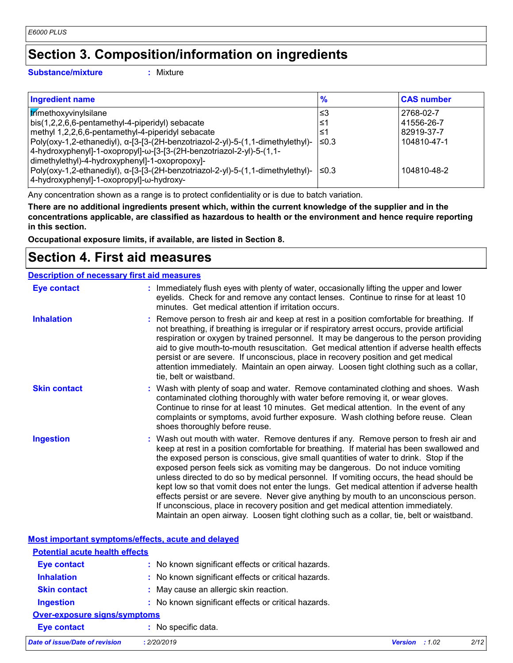# **Section 3. Composition/information on ingredients**

**Substance/mixture :**

: Mixture

| <b>Ingredient name</b>                                                                | $\frac{9}{6}$ | <b>CAS number</b> |
|---------------------------------------------------------------------------------------|---------------|-------------------|
| trimethoxyvinylsilane                                                                 | l≤3           | 2768-02-7         |
| bis(1,2,2,6,6-pentamethyl-4-piperidyl) sebacate                                       | ≤1            | 41556-26-7        |
| methyl 1,2,2,6,6-pentamethyl-4-piperidyl sebacate                                     | ≤1            | 82919-37-7        |
| Poly(oxy-1,2-ethanediyl), α-[3-[3-(2H-benzotriazol-2-yl)-5-(1,1-dimethylethyl)-       | ≤0.3          | 104810-47-1       |
| 4-hydroxyphenyl]-1-oxopropyl]-ω-[3-[3-(2H-benzotriazol-2-yl)-5-(1,1-                  |               |                   |
| dimethylethyl)-4-hydroxyphenyl]-1-oxopropoxy]-                                        |               |                   |
| Poly(oxy-1,2-ethanediyl), α-[3-[3-(2H-benzotriazol-2-yl)-5-(1,1-dimethylethyl)-  ≤0.3 |               | 104810-48-2       |
| 4-hydroxyphenyl]-1-oxopropyl]-ω-hydroxy-                                              |               |                   |

Any concentration shown as a range is to protect confidentiality or is due to batch variation.

**There are no additional ingredients present which, within the current knowledge of the supplier and in the concentrations applicable, are classified as hazardous to health or the environment and hence require reporting in this section.**

**Occupational exposure limits, if available, are listed in Section 8.**

### **Section 4. First aid measures**

#### **Description of necessary first aid measures**

| <b>Eye contact</b>  | : Immediately flush eyes with plenty of water, occasionally lifting the upper and lower<br>eyelids. Check for and remove any contact lenses. Continue to rinse for at least 10<br>minutes. Get medical attention if irritation occurs.                                                                                                                                                                                                                                                                                                                                                                                                                                                                                                                                                                                    |
|---------------------|---------------------------------------------------------------------------------------------------------------------------------------------------------------------------------------------------------------------------------------------------------------------------------------------------------------------------------------------------------------------------------------------------------------------------------------------------------------------------------------------------------------------------------------------------------------------------------------------------------------------------------------------------------------------------------------------------------------------------------------------------------------------------------------------------------------------------|
| <b>Inhalation</b>   | : Remove person to fresh air and keep at rest in a position comfortable for breathing. If<br>not breathing, if breathing is irregular or if respiratory arrest occurs, provide artificial<br>respiration or oxygen by trained personnel. It may be dangerous to the person providing<br>aid to give mouth-to-mouth resuscitation. Get medical attention if adverse health effects<br>persist or are severe. If unconscious, place in recovery position and get medical<br>attention immediately. Maintain an open airway. Loosen tight clothing such as a collar,<br>tie, belt or waistband.                                                                                                                                                                                                                              |
| <b>Skin contact</b> | : Wash with plenty of soap and water. Remove contaminated clothing and shoes. Wash<br>contaminated clothing thoroughly with water before removing it, or wear gloves.<br>Continue to rinse for at least 10 minutes. Get medical attention. In the event of any<br>complaints or symptoms, avoid further exposure. Wash clothing before reuse. Clean<br>shoes thoroughly before reuse.                                                                                                                                                                                                                                                                                                                                                                                                                                     |
| <b>Ingestion</b>    | : Wash out mouth with water. Remove dentures if any. Remove person to fresh air and<br>keep at rest in a position comfortable for breathing. If material has been swallowed and<br>the exposed person is conscious, give small quantities of water to drink. Stop if the<br>exposed person feels sick as vomiting may be dangerous. Do not induce vomiting<br>unless directed to do so by medical personnel. If vomiting occurs, the head should be<br>kept low so that vomit does not enter the lungs. Get medical attention if adverse health<br>effects persist or are severe. Never give anything by mouth to an unconscious person.<br>If unconscious, place in recovery position and get medical attention immediately.<br>Maintain an open airway. Loosen tight clothing such as a collar, tie, belt or waistband. |

|                                       | Most important symptoms/effects, acute and delayed  |                         |      |
|---------------------------------------|-----------------------------------------------------|-------------------------|------|
| <b>Potential acute health effects</b> |                                                     |                         |      |
| <b>Eye contact</b>                    | : No known significant effects or critical hazards. |                         |      |
| <b>Inhalation</b>                     | : No known significant effects or critical hazards. |                         |      |
| <b>Skin contact</b>                   | : May cause an allergic skin reaction.              |                         |      |
| <b>Ingestion</b>                      | : No known significant effects or critical hazards. |                         |      |
| <b>Over-exposure signs/symptoms</b>   |                                                     |                         |      |
| <b>Eye contact</b>                    | : No specific data.                                 |                         |      |
| <b>Date of issue/Date of revision</b> | : 2/20/2019                                         | <b>Version</b> : $1.02$ | 2/12 |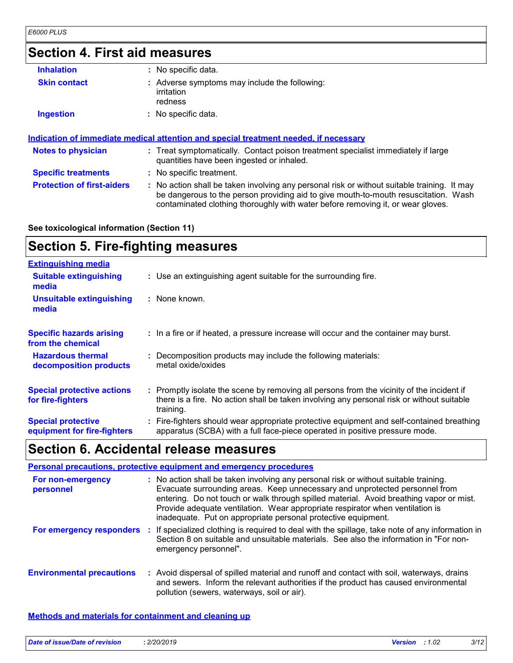# **Section 4. First aid measures**

| <b>Inhalation</b>                 | : No specific data.                                                                                                                                                                                                                                                   |  |
|-----------------------------------|-----------------------------------------------------------------------------------------------------------------------------------------------------------------------------------------------------------------------------------------------------------------------|--|
| <b>Skin contact</b>               | Adverse symptoms may include the following:<br>irritation<br>redness                                                                                                                                                                                                  |  |
| <b>Ingestion</b>                  | No specific data.                                                                                                                                                                                                                                                     |  |
|                                   | <u>Indication of immediate medical attention and special treatment needed, if necessary</u>                                                                                                                                                                           |  |
| <b>Notes to physician</b>         | : Treat symptomatically. Contact poison treatment specialist immediately if large<br>quantities have been ingested or inhaled.                                                                                                                                        |  |
| <b>Specific treatments</b>        | No specific treatment.                                                                                                                                                                                                                                                |  |
| <b>Protection of first-aiders</b> | : No action shall be taken involving any personal risk or without suitable training. It may<br>be dangerous to the person providing aid to give mouth-to-mouth resuscitation. Wash<br>contaminated clothing thoroughly with water before removing it, or wear gloves. |  |

#### **See toxicological information (Section 11)**

# **Section 5. Fire-fighting measures**

| <b>Extinguishing media</b>                               |                                                                                                                                                                                                     |  |
|----------------------------------------------------------|-----------------------------------------------------------------------------------------------------------------------------------------------------------------------------------------------------|--|
| <b>Suitable extinguishing</b><br>media                   | : Use an extinguishing agent suitable for the surrounding fire.                                                                                                                                     |  |
| <b>Unsuitable extinguishing</b><br>media                 | : None known.                                                                                                                                                                                       |  |
| <b>Specific hazards arising</b><br>from the chemical     | : In a fire or if heated, a pressure increase will occur and the container may burst.                                                                                                               |  |
| <b>Hazardous thermal</b><br>decomposition products       | : Decomposition products may include the following materials:<br>metal oxide/oxides                                                                                                                 |  |
| <b>Special protective actions</b><br>for fire-fighters   | : Promptly isolate the scene by removing all persons from the vicinity of the incident if<br>there is a fire. No action shall be taken involving any personal risk or without suitable<br>training. |  |
| <b>Special protective</b><br>equipment for fire-fighters | : Fire-fighters should wear appropriate protective equipment and self-contained breathing<br>apparatus (SCBA) with a full face-piece operated in positive pressure mode.                            |  |

# **Section 6. Accidental release measures**

|                                  |    | Personal precautions, protective equipment and emergency procedures                                                                                                                                                                                                                                                                                                                                              |
|----------------------------------|----|------------------------------------------------------------------------------------------------------------------------------------------------------------------------------------------------------------------------------------------------------------------------------------------------------------------------------------------------------------------------------------------------------------------|
| For non-emergency<br>personnel   |    | : No action shall be taken involving any personal risk or without suitable training.<br>Evacuate surrounding areas. Keep unnecessary and unprotected personnel from<br>entering. Do not touch or walk through spilled material. Avoid breathing vapor or mist.<br>Provide adequate ventilation. Wear appropriate respirator when ventilation is<br>inadequate. Put on appropriate personal protective equipment. |
| For emergency responders         | ÷. | If specialized clothing is required to deal with the spillage, take note of any information in<br>Section 8 on suitable and unsuitable materials. See also the information in "For non-<br>emergency personnel".                                                                                                                                                                                                 |
| <b>Environmental precautions</b> |    | : Avoid dispersal of spilled material and runoff and contact with soil, waterways, drains<br>and sewers. Inform the relevant authorities if the product has caused environmental<br>pollution (sewers, waterways, soil or air).                                                                                                                                                                                  |

#### **Methods and materials for containment and cleaning up**

| Date of issue/Date of revision | . 2/20/2019 | <b>Version</b> | :1.02 | 3/12 |
|--------------------------------|-------------|----------------|-------|------|
|                                |             |                |       |      |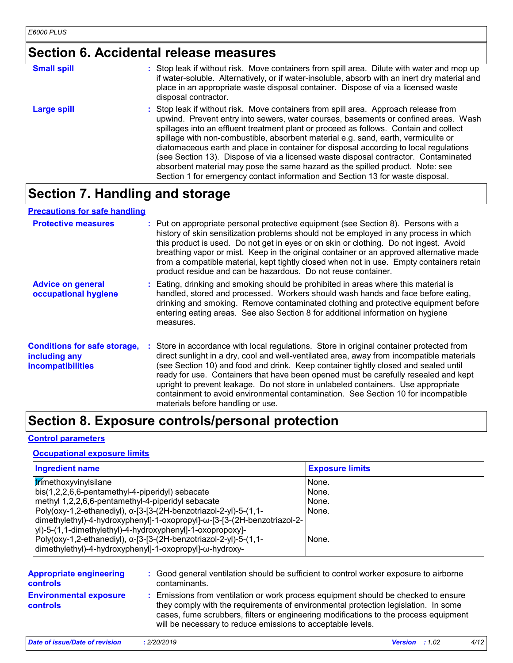# **Section 6. Accidental release measures**

| <b>Small spill</b> | : Stop leak if without risk. Move containers from spill area. Dilute with water and mop up<br>if water-soluble. Alternatively, or if water-insoluble, absorb with an inert dry material and<br>place in an appropriate waste disposal container. Dispose of via a licensed waste<br>disposal contractor.                                                                                                                                                                                                                                                                                                                                                                                                     |
|--------------------|--------------------------------------------------------------------------------------------------------------------------------------------------------------------------------------------------------------------------------------------------------------------------------------------------------------------------------------------------------------------------------------------------------------------------------------------------------------------------------------------------------------------------------------------------------------------------------------------------------------------------------------------------------------------------------------------------------------|
| Large spill        | : Stop leak if without risk. Move containers from spill area. Approach release from<br>upwind. Prevent entry into sewers, water courses, basements or confined areas. Wash<br>spillages into an effluent treatment plant or proceed as follows. Contain and collect<br>spillage with non-combustible, absorbent material e.g. sand, earth, vermiculite or<br>diatomaceous earth and place in container for disposal according to local regulations<br>(see Section 13). Dispose of via a licensed waste disposal contractor. Contaminated<br>absorbent material may pose the same hazard as the spilled product. Note: see<br>Section 1 for emergency contact information and Section 13 for waste disposal. |

# **Section 7. Handling and storage**

#### **Precautions for safe handling**

| <b>Protective measures</b>                                                       | : Put on appropriate personal protective equipment (see Section 8). Persons with a<br>history of skin sensitization problems should not be employed in any process in which<br>this product is used. Do not get in eyes or on skin or clothing. Do not ingest. Avoid<br>breathing vapor or mist. Keep in the original container or an approved alternative made<br>from a compatible material, kept tightly closed when not in use. Empty containers retain<br>product residue and can be hazardous. Do not reuse container.                                                       |
|----------------------------------------------------------------------------------|------------------------------------------------------------------------------------------------------------------------------------------------------------------------------------------------------------------------------------------------------------------------------------------------------------------------------------------------------------------------------------------------------------------------------------------------------------------------------------------------------------------------------------------------------------------------------------|
| <b>Advice on general</b><br>occupational hygiene                                 | : Eating, drinking and smoking should be prohibited in areas where this material is<br>handled, stored and processed. Workers should wash hands and face before eating,<br>drinking and smoking. Remove contaminated clothing and protective equipment before<br>entering eating areas. See also Section 8 for additional information on hygiene<br>measures.                                                                                                                                                                                                                      |
| <b>Conditions for safe storage,</b><br>including any<br><b>incompatibilities</b> | : Store in accordance with local regulations. Store in original container protected from<br>direct sunlight in a dry, cool and well-ventilated area, away from incompatible materials<br>(see Section 10) and food and drink. Keep container tightly closed and sealed until<br>ready for use. Containers that have been opened must be carefully resealed and kept<br>upright to prevent leakage. Do not store in unlabeled containers. Use appropriate<br>containment to avoid environmental contamination. See Section 10 for incompatible<br>materials before handling or use. |

# **Section 8. Exposure controls/personal protection**

#### **Control parameters**

#### **Occupational exposure limits**

| Ingredient name                                                          | <b>Exposure limits</b> |
|--------------------------------------------------------------------------|------------------------|
| <b>trimethoxyvinylsilane</b>                                             | None.                  |
| bis(1,2,2,6,6-pentamethyl-4-piperidyl) sebacate                          | None.                  |
| methyl 1,2,2,6,6-pentamethyl-4-piperidyl sebacate                        | None.                  |
| Poly(oxy-1,2-ethanediyl), α-[3-[3-(2H-benzotriazol-2-yl)-5-(1,1-         | None.                  |
| dimethylethyl)-4-hydroxyphenyl]-1-oxopropyl]-ω-[3-[3-(2H-benzotriazol-2- |                        |
| yl)-5-(1,1-dimethylethyl)-4-hydroxyphenyl]-1-oxopropoxy]-                |                        |
| Poly(oxy-1,2-ethanediyl), α-[3-[3-(2H-benzotriazol-2-yl)-5-(1,1-         | None.                  |
| dimethylethyl)-4-hydroxyphenyl]-1-oxopropyl]-ω-hydroxy-                  |                        |

| <b>Appropriate engineering</b>                   | : Good general ventilation should be sufficient to control worker exposure to airborne                                                                                                                                                                                                                                          |
|--------------------------------------------------|---------------------------------------------------------------------------------------------------------------------------------------------------------------------------------------------------------------------------------------------------------------------------------------------------------------------------------|
| <b>controls</b>                                  | contaminants.                                                                                                                                                                                                                                                                                                                   |
| <b>Environmental exposure</b><br><b>controls</b> | : Emissions from ventilation or work process equipment should be checked to ensure<br>they comply with the requirements of environmental protection legislation. In some<br>cases, fume scrubbers, filters or engineering modifications to the process equipment<br>will be necessary to reduce emissions to acceptable levels. |

| Date of issue/Date of revision | : 2/20/2019 | <b>Version</b> : $1.02$ |  |
|--------------------------------|-------------|-------------------------|--|
|                                |             |                         |  |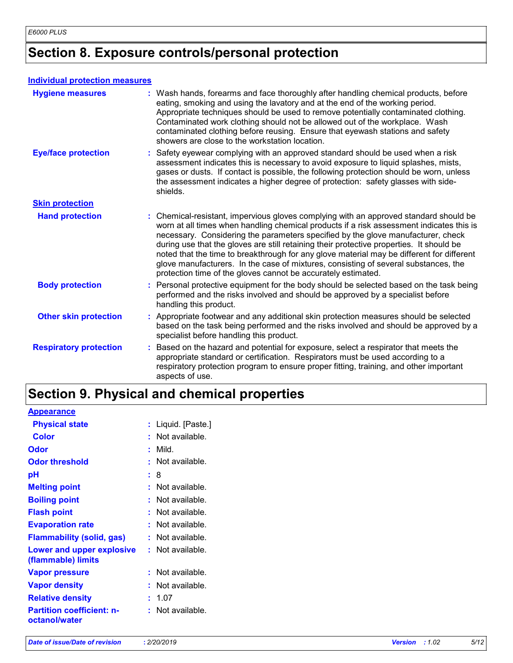# **Section 8. Exposure controls/personal protection**

#### **Individual protection measures**

| <b>Hygiene measures</b>       | : Wash hands, forearms and face thoroughly after handling chemical products, before<br>eating, smoking and using the lavatory and at the end of the working period.<br>Appropriate techniques should be used to remove potentially contaminated clothing.<br>Contaminated work clothing should not be allowed out of the workplace. Wash<br>contaminated clothing before reusing. Ensure that eyewash stations and safety<br>showers are close to the workstation location.                                                                                                                                            |
|-------------------------------|------------------------------------------------------------------------------------------------------------------------------------------------------------------------------------------------------------------------------------------------------------------------------------------------------------------------------------------------------------------------------------------------------------------------------------------------------------------------------------------------------------------------------------------------------------------------------------------------------------------------|
| <b>Eye/face protection</b>    | : Safety eyewear complying with an approved standard should be used when a risk<br>assessment indicates this is necessary to avoid exposure to liquid splashes, mists,<br>gases or dusts. If contact is possible, the following protection should be worn, unless<br>the assessment indicates a higher degree of protection: safety glasses with side-<br>shields.                                                                                                                                                                                                                                                     |
| <b>Skin protection</b>        |                                                                                                                                                                                                                                                                                                                                                                                                                                                                                                                                                                                                                        |
| <b>Hand protection</b>        | : Chemical-resistant, impervious gloves complying with an approved standard should be<br>worn at all times when handling chemical products if a risk assessment indicates this is<br>necessary. Considering the parameters specified by the glove manufacturer, check<br>during use that the gloves are still retaining their protective properties. It should be<br>noted that the time to breakthrough for any glove material may be different for different<br>glove manufacturers. In the case of mixtures, consisting of several substances, the<br>protection time of the gloves cannot be accurately estimated. |
| <b>Body protection</b>        | : Personal protective equipment for the body should be selected based on the task being<br>performed and the risks involved and should be approved by a specialist before<br>handling this product.                                                                                                                                                                                                                                                                                                                                                                                                                    |
| <b>Other skin protection</b>  | : Appropriate footwear and any additional skin protection measures should be selected<br>based on the task being performed and the risks involved and should be approved by a<br>specialist before handling this product.                                                                                                                                                                                                                                                                                                                                                                                              |
| <b>Respiratory protection</b> | : Based on the hazard and potential for exposure, select a respirator that meets the<br>appropriate standard or certification. Respirators must be used according to a<br>respiratory protection program to ensure proper fitting, training, and other important<br>aspects of use.                                                                                                                                                                                                                                                                                                                                    |

# **Section 9. Physical and chemical properties**

| <b>Appearance</b>                                 |                      |
|---------------------------------------------------|----------------------|
| <b>Physical state</b>                             | Liquid. [Paste.]     |
| <b>Color</b>                                      | Not available.       |
| Odor                                              | Mild.                |
| <b>Odor threshold</b>                             | Not available.       |
| рH                                                | t.<br>8              |
| <b>Melting point</b>                              | Not available.       |
| <b>Boiling point</b>                              | Not available.<br>t. |
| <b>Flash point</b>                                | Not available.       |
| <b>Evaporation rate</b>                           | Not available.       |
| <b>Flammability (solid, gas)</b>                  | Not available.       |
| Lower and upper explosive                         | : Not available.     |
| (flammable) limits                                |                      |
| <b>Vapor pressure</b>                             | Not available.       |
| <b>Vapor density</b>                              | Not available.       |
| <b>Relative density</b>                           | 1.07<br>t.           |
| <b>Partition coefficient: n-</b><br>octanol/water | Not available.       |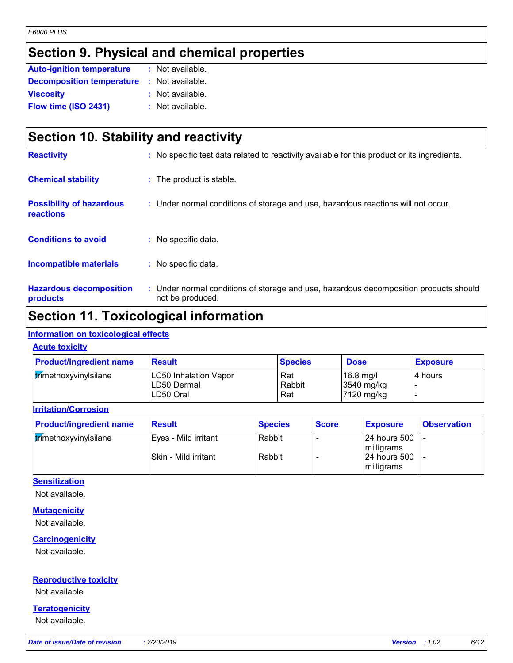# **Section 9. Physical and chemical properties**

| <b>Auto-ignition temperature</b> | : Not available. |
|----------------------------------|------------------|
| <b>Decomposition temperature</b> | : Not available. |
| <b>Viscosity</b>                 | : Not available. |
| Flow time (ISO 2431)             | : Not available. |

# **Section 10. Stability and reactivity**

| <b>Hazardous decomposition</b><br>products   | : Under normal conditions of storage and use, hazardous decomposition products should<br>not be produced. |
|----------------------------------------------|-----------------------------------------------------------------------------------------------------------|
| <b>Incompatible materials</b>                | : No specific data.                                                                                       |
| <b>Conditions to avoid</b>                   | : No specific data.                                                                                       |
| <b>Possibility of hazardous</b><br>reactions | : Under normal conditions of storage and use, hazardous reactions will not occur.                         |
| <b>Chemical stability</b>                    | : The product is stable.                                                                                  |
| <b>Reactivity</b>                            | : No specific test data related to reactivity available for this product or its ingredients.              |

### **Section 11. Toxicological information**

#### **Information on toxicological effects**

#### **Acute toxicity**

| <b>Product/ingredient name</b> | <b>Result</b>                                     | <b>Species</b>       | <b>Dose</b>                             | <b>Exposure</b> |
|--------------------------------|---------------------------------------------------|----------------------|-----------------------------------------|-----------------|
| trimethoxyvinylsilane          | LC50 Inhalation Vapor<br>LD50 Dermal<br>LD50 Oral | Rat<br>Rabbit<br>Rat | $16.8$ mg/l<br>3540 mg/kg<br>7120 mg/kg | I4 hours        |

#### **Irritation/Corrosion**

| <b>Product/ingredient name</b> | <b>Result</b>          | <b>Species</b> | <b>Score</b> | <b>Exposure</b>              | <b>Observation</b> |
|--------------------------------|------------------------|----------------|--------------|------------------------------|--------------------|
| trimethoxyvinylsilane          | l Eves - Mild irritant | Rabbit         |              | l 24 hours 500<br>milligrams |                    |
|                                | Skin - Mild irritant   | l Rabbit       |              | l 24 hours 500<br>milligrams |                    |

### **Sensitization**

Not available.

#### **Mutagenicity**

Not available.

#### **Carcinogenicity**

Not available.

#### **Reproductive toxicity**

Not available.

#### **Teratogenicity**

Not available.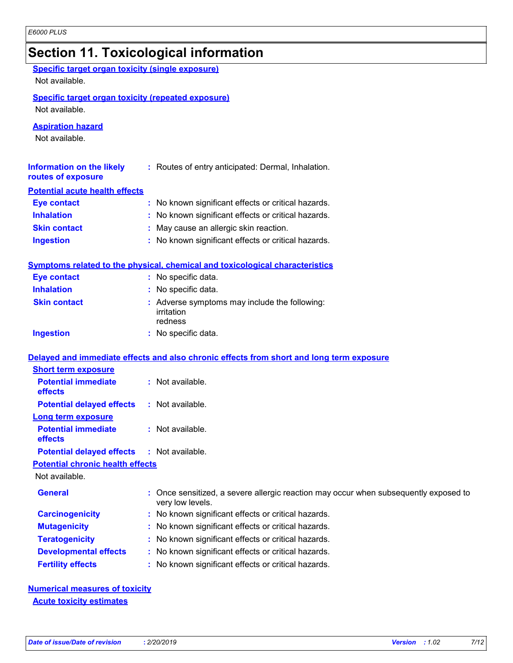|                                                                             | <b>Section 11. Toxicological information</b>                                                           |
|-----------------------------------------------------------------------------|--------------------------------------------------------------------------------------------------------|
| <b>Specific target organ toxicity (single exposure)</b>                     |                                                                                                        |
| Not available.                                                              |                                                                                                        |
| <b>Specific target organ toxicity (repeated exposure)</b><br>Not available. |                                                                                                        |
| <b>Aspiration hazard</b><br>Not available.                                  |                                                                                                        |
| <b>Information on the likely</b><br>routes of exposure                      | : Routes of entry anticipated: Dermal, Inhalation.                                                     |
| <b>Potential acute health effects</b>                                       |                                                                                                        |
| <b>Eye contact</b>                                                          | : No known significant effects or critical hazards.                                                    |
| <b>Inhalation</b>                                                           | No known significant effects or critical hazards.                                                      |
| <b>Skin contact</b>                                                         | May cause an allergic skin reaction.                                                                   |
| <b>Ingestion</b>                                                            | No known significant effects or critical hazards.                                                      |
|                                                                             | Symptoms related to the physical, chemical and toxicological characteristics                           |
| <b>Eye contact</b>                                                          | : No specific data.                                                                                    |
| <b>Inhalation</b>                                                           | : No specific data.                                                                                    |
| <b>Skin contact</b>                                                         | : Adverse symptoms may include the following:<br>irritation<br>redness                                 |
| <b>Ingestion</b>                                                            | : No specific data.                                                                                    |
|                                                                             | Delayed and immediate effects and also chronic effects from short and long term exposure               |
| <b>Short term exposure</b>                                                  |                                                                                                        |
| <b>Potential immediate</b><br>effects                                       | : Not available.                                                                                       |
| <b>Potential delayed effects</b>                                            | : Not available.                                                                                       |
| <u>Long term exposure</u>                                                   |                                                                                                        |
| <b>Potential immediate</b><br>effects                                       | : Not available.                                                                                       |
| <b>Potential delayed effects</b>                                            | : Not available.                                                                                       |
| <b>Potential chronic health effects</b>                                     |                                                                                                        |
| Not available.                                                              |                                                                                                        |
| <b>General</b>                                                              | Once sensitized, a severe allergic reaction may occur when subsequently exposed to<br>very low levels. |
| <b>Carcinogenicity</b>                                                      | No known significant effects or critical hazards.                                                      |
| <b>Mutagenicity</b>                                                         | No known significant effects or critical hazards.                                                      |
| <b>Teratogenicity</b>                                                       | No known significant effects or critical hazards.                                                      |
| <b>Developmental effects</b>                                                | No known significant effects or critical hazards.                                                      |
| <b>Fertility effects</b>                                                    | No known significant effects or critical hazards.                                                      |
|                                                                             |                                                                                                        |

**Numerical measures of toxicity Acute toxicity estimates**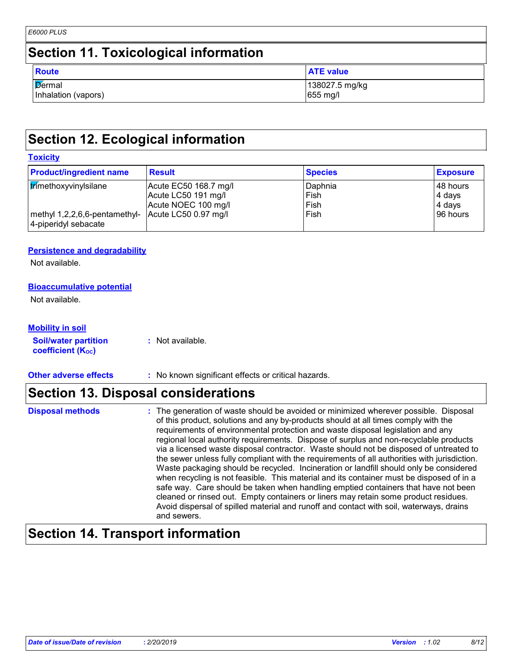# **Section 11. Toxicological information**

| <b>Route</b>        | <b>ATE value</b> |
|---------------------|------------------|
| Dermal              | 138027.5 mg/kg   |
| Inhalation (vapors) | 655 mg/l         |

# **Section 12. Ecological information**

#### **Toxicity**

| <b>Product/ingredient name</b>                                             | <b>Result</b>         | <b>Species</b> | <b>Exposure</b> |
|----------------------------------------------------------------------------|-----------------------|----------------|-----------------|
| trimethoxyvinylsilane                                                      | Acute EC50 168.7 mg/l | Daphnia        | 48 hours        |
|                                                                            | Acute LC50 191 mg/l   | Fish           | 4 days          |
|                                                                            | Acute NOEC 100 mg/l   | Fish           | 4 days          |
| methyl 1,2,2,6,6-pentamethyl- Acute LC50 0.97 mg/l<br>4-piperidyl sebacate |                       | Fish           | 196 hours       |

#### **Persistence and degradability**

Not available.

#### **Bioaccumulative potential**

Not available.

#### **Mobility in soil**

**Soil/water partition coefficient (Koc) :** Not available.

**Other adverse effects** : No known significant effects or critical hazards.

### **Section 13. Disposal considerations**

#### The generation of waste should be avoided or minimized wherever possible. Disposal of this product, solutions and any by-products should at all times comply with the requirements of environmental protection and waste disposal legislation and any regional local authority requirements. Dispose of surplus and non-recyclable products via a licensed waste disposal contractor. Waste should not be disposed of untreated to the sewer unless fully compliant with the requirements of all authorities with jurisdiction. Waste packaging should be recycled. Incineration or landfill should only be considered when recycling is not feasible. This material and its container must be disposed of in a safe way. Care should be taken when handling emptied containers that have not been cleaned or rinsed out. Empty containers or liners may retain some product residues. Avoid dispersal of spilled material and runoff and contact with soil, waterways, drains and sewers. **Disposal methods :**

### **Section 14. Transport information**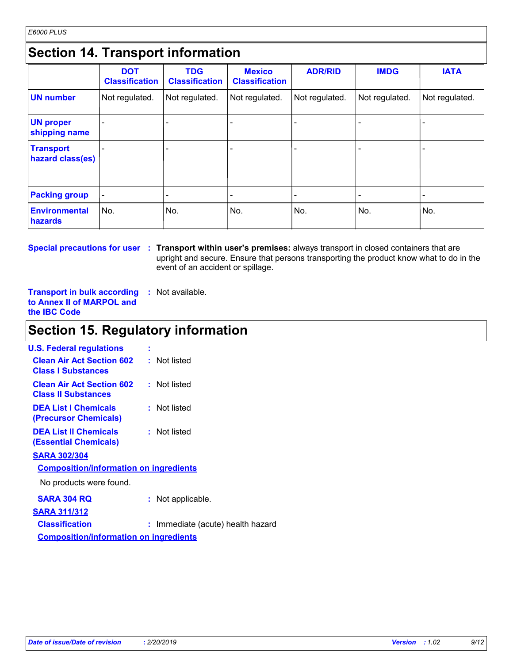# **Section 14. Transport information**

|                                      | <b>DOT</b><br><b>Classification</b> | <b>TDG</b><br><b>Classification</b> | <b>Mexico</b><br><b>Classification</b> | <b>ADR/RID</b>           | <b>IMDG</b>              | <b>IATA</b>              |
|--------------------------------------|-------------------------------------|-------------------------------------|----------------------------------------|--------------------------|--------------------------|--------------------------|
| <b>UN number</b>                     | Not regulated.                      | Not regulated.                      | Not regulated.                         | Not regulated.           | Not regulated.           | Not regulated.           |
| <b>UN proper</b><br>shipping name    |                                     |                                     |                                        |                          |                          |                          |
| <b>Transport</b><br>hazard class(es) |                                     |                                     |                                        |                          |                          |                          |
| <b>Packing group</b>                 | $\overline{\phantom{a}}$            |                                     |                                        | $\overline{\phantom{a}}$ | $\overline{\phantom{a}}$ | $\overline{\phantom{0}}$ |
| <b>Environmental</b><br>hazards      | No.                                 | No.                                 | No.                                    | No.                      | No.                      | No.                      |

**Special precautions for user Transport within user's premises:** always transport in closed containers that are **:** upright and secure. Ensure that persons transporting the product know what to do in the event of an accident or spillage.

**Transport in bulk according :** Not available. **to Annex II of MARPOL and the IBC Code**

# **Section 15. Regulatory information**

| <b>U.S. Federal regulations</b>                                | t                               |
|----------------------------------------------------------------|---------------------------------|
| <b>Clean Air Act Section 602</b><br><b>Class I Substances</b>  | : Not listed                    |
| <b>Clean Air Act Section 602</b><br><b>Class II Substances</b> | : Not listed                    |
| <b>DEA List I Chemicals</b><br>(Precursor Chemicals)           | : Not listed                    |
| <b>DEA List II Chemicals</b><br>(Essential Chemicals)          | : Not listed                    |
| <b>SARA 302/304</b>                                            |                                 |
| <b>Composition/information on ingredients</b>                  |                                 |
| No products were found.                                        |                                 |
| SARA 304 RQ                                                    | Not applicable.                 |
| <b>SARA 311/312</b>                                            |                                 |
| <b>Classification</b>                                          | Immediate (acute) health hazard |
| <b>Composition/information on ingredients</b>                  |                                 |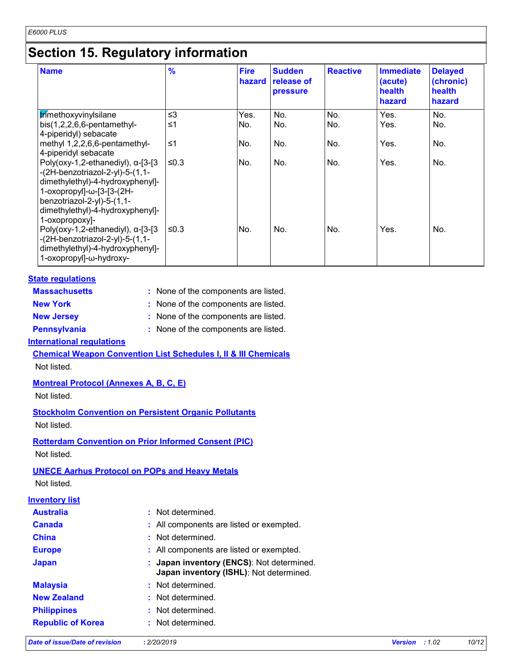# **Section 15. Regulatory information**

| <b>Name</b>                                                                                                                                                                                                                         | $\frac{9}{6}$ | <b>Fire</b><br>hazard | <b>Sudden</b><br>release of<br><b>pressure</b> | <b>Reactive</b> | <b>Immediate</b><br>(acute)<br>health<br>hazard | <b>Delayed</b><br>(chronic)<br>health<br>hazard |
|-------------------------------------------------------------------------------------------------------------------------------------------------------------------------------------------------------------------------------------|---------------|-----------------------|------------------------------------------------|-----------------|-------------------------------------------------|-------------------------------------------------|
| trimethoxyvinylsilane                                                                                                                                                                                                               | $\leq$ 3      | Yes.                  | No.                                            | No.             | Yes.                                            | No.                                             |
| bis(1,2,2,6,6-pentamethyl-<br>4-piperidyl) sebacate                                                                                                                                                                                 | $\leq 1$      | No.                   | No.                                            | No.             | Yes.                                            | No.                                             |
| methyl 1,2,2,6,6-pentamethyl-<br>4-piperidyl sebacate                                                                                                                                                                               | $≤1$          | No.                   | No.                                            | No.             | Yes.                                            | No.                                             |
| Poly(oxy-1,2-ethanediyl), $\alpha$ -[3-[3<br>$-(2H-benzotriazol-2-yl)-5-(1,1-$<br>dimethylethyl)-4-hydroxyphenyl]-<br>1-oxopropyl]-ω-[3-[3-(2H-<br>benzotriazol-2-yl)-5-(1,1-<br>dimethylethyl)-4-hydroxyphenyl]-<br>1-oxopropoxy]- | ≤0.3          | No.                   | No.                                            | No.             | Yes.                                            | No.                                             |
| Poly(oxy-1,2-ethanediyl), $\alpha$ -[3-[3<br>$-(2H-benzotriazol-2-yl)-5-(1,1-$<br>dimethylethyl)-4-hydroxyphenyl]-<br>1-oxopropyl]-ω-hydroxy-                                                                                       | ≤0.3          | No.                   | No.                                            | No.             | Yes.                                            | No.                                             |

#### **State regulations**

| <b>Massachusetts</b> | : None of the components are listed. |
|----------------------|--------------------------------------|
| <b>New York</b>      | : None of the components are listed. |
| <b>New Jersey</b>    | : None of the components are listed. |
| <b>Pennsylvania</b>  | : None of the components are listed. |

**International regulations**

**Chemical Weapon Convention List Schedules I, II & III Chemicals** Not listed.

**Montreal Protocol (Annexes A, B, C, E)**

Not listed.

**Stockholm Convention on Persistent Organic Pollutants** Not listed.

**Rotterdam Convention on Prior Informed Consent (PIC)** Not listed.

#### **UNECE Aarhus Protocol on POPs and Heavy Metals**

Not listed.

### **Inventory list**

| <b>Australia</b>         | : Not determined.                                                                    |
|--------------------------|--------------------------------------------------------------------------------------|
| <b>Canada</b>            | : All components are listed or exempted.                                             |
| <b>China</b>             | : Not determined.                                                                    |
| <b>Europe</b>            | : All components are listed or exempted.                                             |
| <b>Japan</b>             | : Japan inventory (ENCS): Not determined.<br>Japan inventory (ISHL): Not determined. |
| <b>Malaysia</b>          | : Not determined.                                                                    |
| <b>New Zealand</b>       | : Not determined.                                                                    |
| <b>Philippines</b>       | : Not determined.                                                                    |
| <b>Republic of Korea</b> | : Not determined.                                                                    |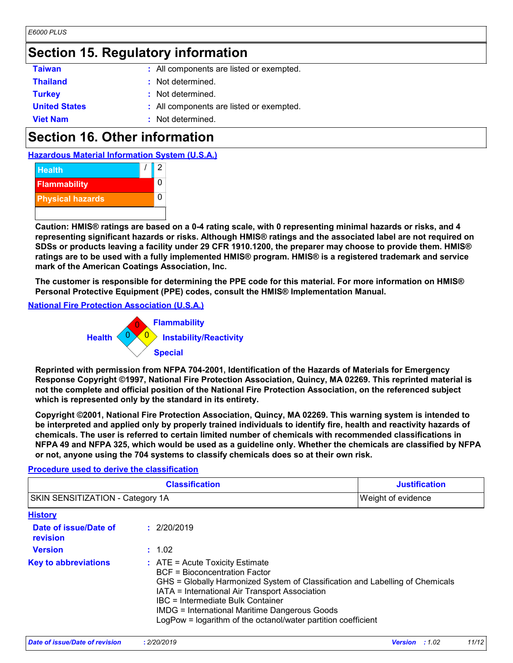# **Section 15. Regulatory information**

| <b>Taiwan</b>        | : All components are listed or exempted. |
|----------------------|------------------------------------------|
| <b>Thailand</b>      | : Not determined.                        |
| <b>Turkey</b>        | : Not determined.                        |
| <b>United States</b> | : All components are listed or exempted. |
| <b>Viet Nam</b>      | : Not determined.                        |

# **Section 16. Other information**

**Hazardous Material Information System (U.S.A.)**



**Caution: HMIS® ratings are based on a 0-4 rating scale, with 0 representing minimal hazards or risks, and 4 representing significant hazards or risks. Although HMIS® ratings and the associated label are not required on SDSs or products leaving a facility under 29 CFR 1910.1200, the preparer may choose to provide them. HMIS® ratings are to be used with a fully implemented HMIS® program. HMIS® is a registered trademark and service mark of the American Coatings Association, Inc.**

**The customer is responsible for determining the PPE code for this material. For more information on HMIS® Personal Protective Equipment (PPE) codes, consult the HMIS® Implementation Manual.**

**National Fire Protection Association (U.S.A.)**

**Procedure used to derive the classification**



**Reprinted with permission from NFPA 704-2001, Identification of the Hazards of Materials for Emergency Response Copyright ©1997, National Fire Protection Association, Quincy, MA 02269. This reprinted material is not the complete and official position of the National Fire Protection Association, on the referenced subject which is represented only by the standard in its entirety.**

**Copyright ©2001, National Fire Protection Association, Quincy, MA 02269. This warning system is intended to be interpreted and applied only by properly trained individuals to identify fire, health and reactivity hazards of chemicals. The user is referred to certain limited number of chemicals with recommended classifications in NFPA 49 and NFPA 325, which would be used as a guideline only. Whether the chemicals are classified by NFPA or not, anyone using the 704 systems to classify chemicals does so at their own risk.**

| <b>Classification</b>            | <b>Justification</b>      |
|----------------------------------|---------------------------|
| SKIN SENSITIZATION - Category 1A | <b>Weight of evidence</b> |

| <b>History</b>                    |                                                                                                                                                                                                                                                                                                                                                                                     |
|-----------------------------------|-------------------------------------------------------------------------------------------------------------------------------------------------------------------------------------------------------------------------------------------------------------------------------------------------------------------------------------------------------------------------------------|
| Date of issue/Date of<br>revision | : 2/20/2019                                                                                                                                                                                                                                                                                                                                                                         |
| <b>Version</b>                    | : 1.02                                                                                                                                                                                                                                                                                                                                                                              |
| <b>Key to abbreviations</b>       | $\therefore$ ATE = Acute Toxicity Estimate<br><b>BCF</b> = Bioconcentration Factor<br>GHS = Globally Harmonized System of Classification and Labelling of Chemicals<br>IATA = International Air Transport Association<br>IBC = Intermediate Bulk Container<br><b>IMDG = International Maritime Dangerous Goods</b><br>LogPow = logarithm of the octanol/water partition coefficient |